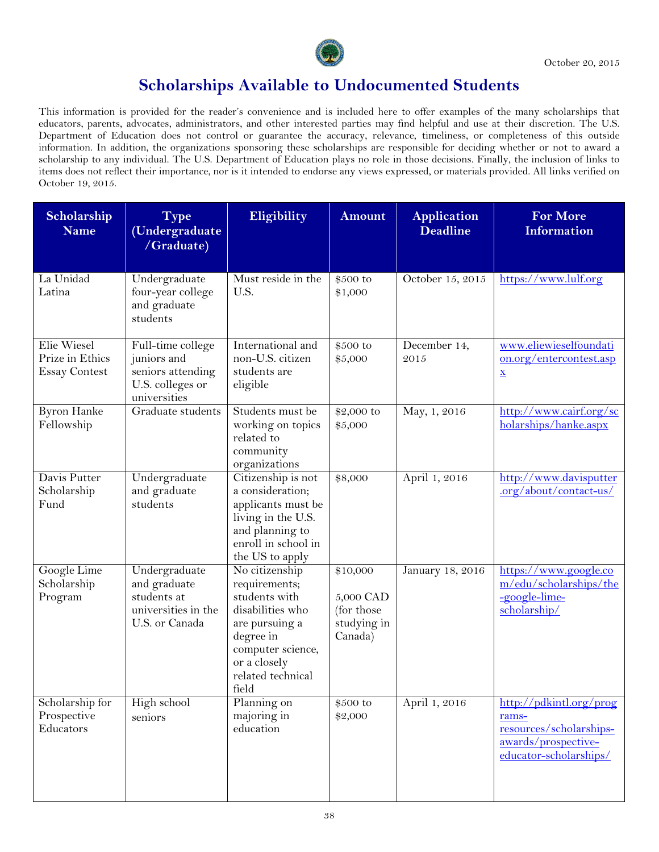| Scholarship<br><b>Name</b>                             | <b>Type</b><br>(Undergraduate<br>/Graduate)                                               | Eligibility                                                                                                                                                            | <b>Amount</b>                                                  | <b>Application</b><br><b>Deadline</b> | <b>For More</b><br><b>Information</b>                                                                        |
|--------------------------------------------------------|-------------------------------------------------------------------------------------------|------------------------------------------------------------------------------------------------------------------------------------------------------------------------|----------------------------------------------------------------|---------------------------------------|--------------------------------------------------------------------------------------------------------------|
| La Unidad<br>Latina                                    | Undergraduate<br>four-year college<br>and graduate<br>students                            | Must reside in the<br>U.S.                                                                                                                                             | \$500 to<br>\$1,000                                            | October 15, 2015                      | https://www.lulf.org                                                                                         |
| Elie Wiesel<br>Prize in Ethics<br><b>Essay Contest</b> | Full-time college<br>juniors and<br>seniors attending<br>U.S. colleges or<br>universities | International and<br>non-U.S. citizen<br>students are<br>eligible                                                                                                      | \$500 to<br>\$5,000                                            | December 14,<br>2015                  | www.eliewieselfoundati<br>on.org/entercontest.asp<br>$\underline{\mathbf{X}}$                                |
| <b>Byron Hanke</b><br>Fellowship                       | Graduate students                                                                         | Students must be<br>working on topics<br>related to<br>community<br>organizations                                                                                      | \$2,000 to<br>\$5,000                                          | May, 1, 2016                          | http://www.cairf.org/sc<br>holarships/hanke.aspx                                                             |
| Davis Putter<br>Scholarship<br>Fund                    | Undergraduate<br>and graduate<br>students                                                 | Citizenship is not<br>a consideration;<br>applicants must be<br>living in the U.S.<br>and planning to<br>enroll in school in<br>the US to apply                        | \$8,000                                                        | April 1, 2016                         | http://www.davisputter<br>.org/about/contact-us/                                                             |
| Google Lime<br>Scholarship<br>Program                  | Undergraduate<br>and graduate<br>students at<br>universities in the<br>U.S. or Canada     | No citizenship<br>requirements;<br>students with<br>disabilities who<br>are pursuing a<br>degree in<br>computer science,<br>or a closely<br>related technical<br>field | \$10,000<br>5,000 CAD<br>(for those)<br>studying in<br>Canada) | January 18, 2016                      | https://www.google.co<br>m/edu/scholarships/the<br>-google-lime-<br>scholarship/                             |
| Scholarship for<br>Prospective<br>Educators            | High school<br>seniors                                                                    | Planning on<br>majoring in<br>education                                                                                                                                | \$500 to<br>\$2,000                                            | April 1, 2016                         | http://pdkintl.org/prog<br>rams-<br>resources/scholarships-<br>awards/prospective-<br>educator-scholarships/ |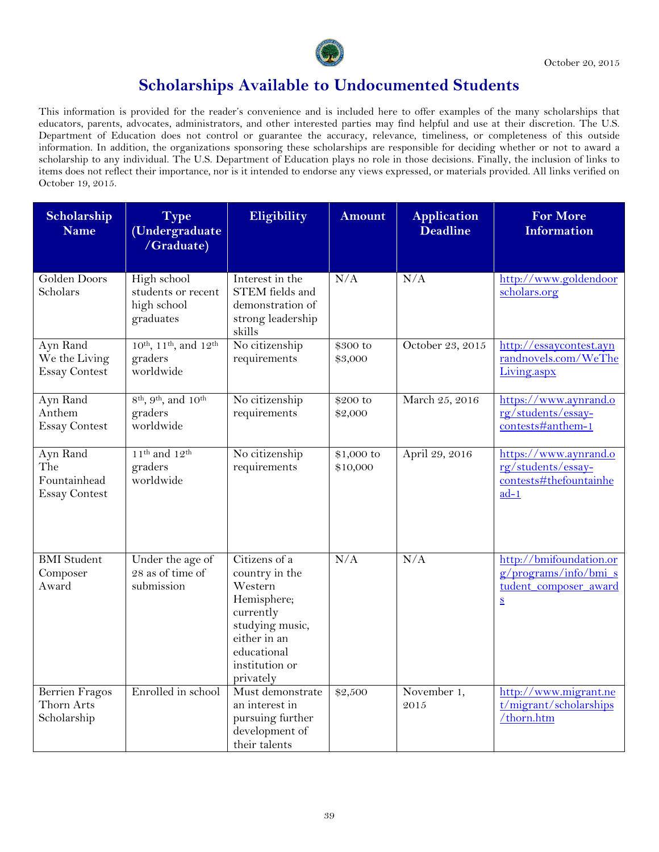

| Scholarship<br><b>Name</b>                              | <b>Type</b><br>(Undergraduate<br>/Graduate)                                        | Eligibility                                                                                                                                             | <b>Amount</b>          | <b>Application</b><br><b>Deadline</b> | <b>For More</b><br><b>Information</b>                                                                    |
|---------------------------------------------------------|------------------------------------------------------------------------------------|---------------------------------------------------------------------------------------------------------------------------------------------------------|------------------------|---------------------------------------|----------------------------------------------------------------------------------------------------------|
| Golden Doors<br>Scholars                                | High school<br>students or recent<br>high school<br>graduates                      | Interest in the<br>STEM fields and<br>demonstration of<br>strong leadership<br>skills                                                                   | N/A                    | N/A                                   | http://www.goldendoor<br>scholars.org                                                                    |
| Ayn Rand<br>We the Living<br><b>Essay Contest</b>       | 10 <sup>th</sup> , 11 <sup>th</sup> , and 12 <sup>th</sup><br>graders<br>worldwide | No citizenship<br>requirements                                                                                                                          | \$300 to<br>\$3,000    | October 23, 2015                      | http://essaycontest.ayn<br>randnovels.com/WeThe<br>Living.aspx                                           |
| Ayn Rand<br>Anthem<br><b>Essay Contest</b>              | $8^{\text{th}}$ , $9^{\text{th}}$ , and $10^{\text{th}}$<br>graders<br>worldwide   | No citizenship<br>requirements                                                                                                                          | \$200 to<br>\$2,000    | March 25, 2016                        | https://www.aynrand.o<br>rg/students/essay-<br>contests#anthem-1                                         |
| Ayn Rand<br>The<br>Fountainhead<br><b>Essay Contest</b> | $11th$ and $12th$<br>graders<br>worldwide                                          | No citizenship<br>requirements                                                                                                                          | \$1,000 to<br>\$10,000 | April 29, 2016                        | https://www.aynrand.o<br>rg/students/essay-<br>contests#thefountainhe<br>$ad-1$                          |
| <b>BMI</b> Student<br>Composer<br>Award                 | Under the age of<br>28 as of time of<br>submission                                 | Citizens of a<br>country in the<br>Western<br>Hemisphere;<br>currently<br>studying music,<br>either in an<br>educational<br>institution or<br>privately | N/A                    | N/A                                   | http://bmifoundation.or<br>$g/$ programs/info/bmi_s<br>tudent composer award<br>$\underline{\mathbf{S}}$ |
| <b>Berrien Fragos</b><br>Thorn Arts<br>Scholarship      | Enrolled in school                                                                 | Must demonstrate<br>an interest in<br>pursuing further<br>development of<br>their talents                                                               | \$2,500                | November 1,<br>2015                   | http://www.migrant.ne<br>t/migrant/scholarships<br>/thorn.htm                                            |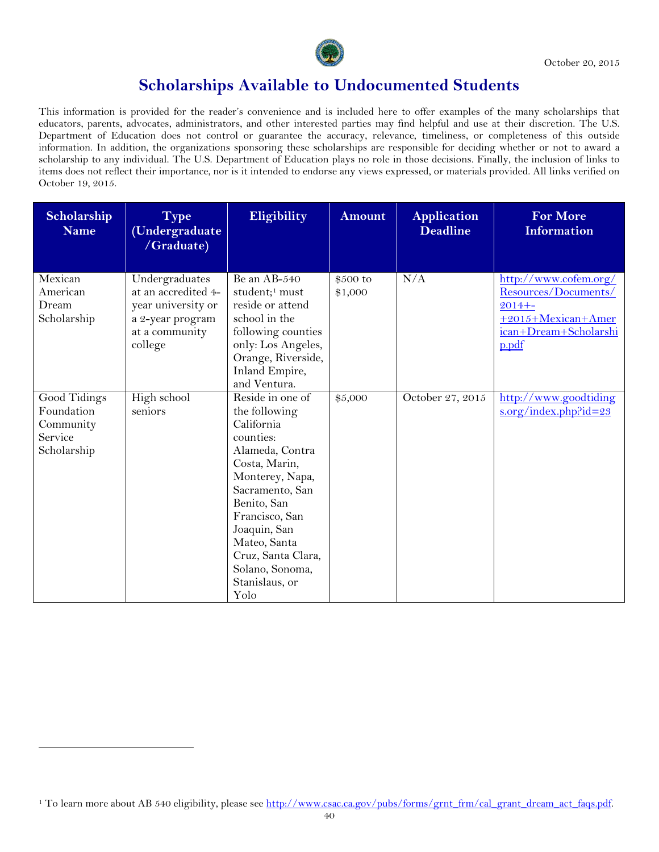

This information is provided for the reader's convenience and is included here to offer examples of the many scholarships that educators, parents, advocates, administrators, and other interested parties may find helpful and use at their discretion. The U.S. Department of Education does not control or guarantee the accuracy, relevance, timeliness, or completeness of this outside information. In addition, the organizations sponsoring these scholarships are responsible for deciding whether or not to award a scholarship to any individual. The U.S. Department of Education plays no role in those decisions. Finally, the inclusion of links to items does not reflect their importance, nor is it intended to endorse any views expressed, or materials provided. All links verified on October 19, 2015.

| Scholarship<br><b>Name</b>                                        | <b>Type</b><br>(Undergraduate<br>/Graduate)                                                                  | Eligibility                                                                                                                                                                                                                                                                | <b>Amount</b>       | <b>Application</b><br><b>Deadline</b> | <b>For More</b><br><b>Information</b>                                                                               |
|-------------------------------------------------------------------|--------------------------------------------------------------------------------------------------------------|----------------------------------------------------------------------------------------------------------------------------------------------------------------------------------------------------------------------------------------------------------------------------|---------------------|---------------------------------------|---------------------------------------------------------------------------------------------------------------------|
| Mexican<br>American<br>Dream<br>Scholarship                       | Undergraduates<br>at an accredited 4-<br>year university or<br>a 2-year program<br>at a community<br>college | Be an AB-540<br>student; <sup>1</sup> must<br>reside or attend<br>school in the<br>following counties<br>only: Los Angeles,<br>Orange, Riverside,<br>Inland Empire,<br>and Ventura.                                                                                        | \$500 to<br>\$1,000 | N/A                                   | http://www.cofem.org/<br>Resources/Documents/<br>$2014 + -$<br>+2015+Mexican+Amer<br>ican+Dream+Scholarshi<br>p.pdf |
| Good Tidings<br>Foundation<br>Community<br>Service<br>Scholarship | High school<br>seniors                                                                                       | Reside in one of<br>the following<br>California<br>counties:<br>Alameda, Contra<br>Costa, Marin,<br>Monterey, Napa,<br>Sacramento, San<br>Benito, San<br>Francisco, San<br>Joaquin, San<br>Mateo, Santa<br>Cruz, Santa Clara,<br>Solano, Sonoma,<br>Stanislaus, or<br>Yolo | \$5,000             | October 27, 2015                      | http://www.goodtiding<br>$s.org/index.php$ <sup>2</sup> id=23                                                       |

 $\overline{a}$ 

<span id="page-2-0"></span><sup>&</sup>lt;sup>1</sup> To learn more about AB 540 eligibility, please see [http://www.csac.ca.gov/pubs/forms/grnt\\_frm/cal\\_grant\\_dream\\_act\\_faqs.pdf.](http://www.csac.ca.gov/pubs/forms/grnt_frm/cal_grant_dream_act_faqs.pdf)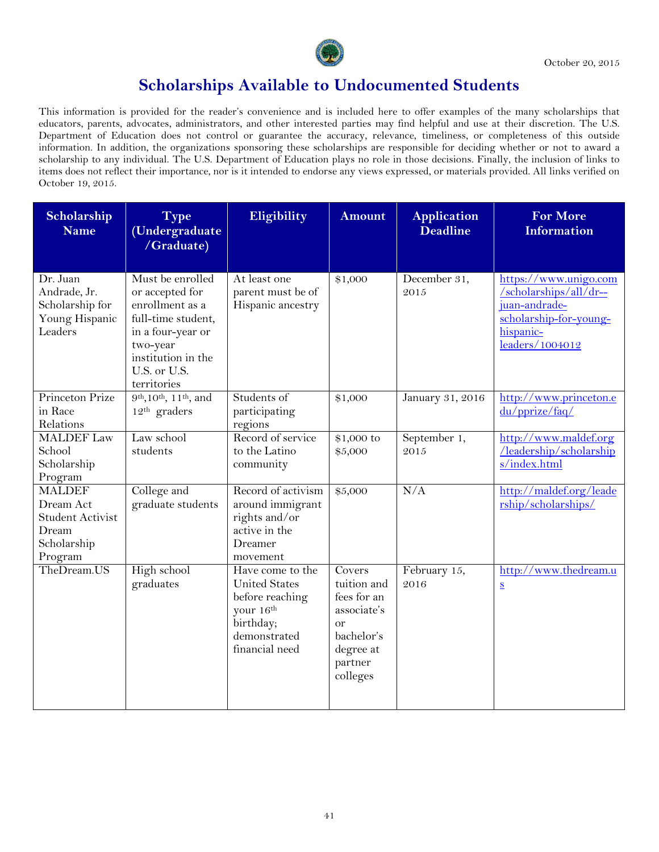

| Scholarship<br><b>Name</b>                                                               | <b>Type</b><br>(Undergraduate<br>/Graduate)                                                                                                                        | Eligibility                                                                                                             | <b>Amount</b>                                                                                                          | <b>Application</b><br><b>Deadline</b> | <b>For More</b><br><b>Information</b>                                                                                      |
|------------------------------------------------------------------------------------------|--------------------------------------------------------------------------------------------------------------------------------------------------------------------|-------------------------------------------------------------------------------------------------------------------------|------------------------------------------------------------------------------------------------------------------------|---------------------------------------|----------------------------------------------------------------------------------------------------------------------------|
| Dr. Juan<br>Andrade, Jr.<br>Scholarship for<br>Young Hispanic<br>Leaders                 | Must be enrolled<br>or accepted for<br>enrollment as a<br>full-time student,<br>in a four-year or<br>two-year<br>institution in the<br>U.S. or U.S.<br>territories | At least one<br>parent must be of<br>Hispanic ancestry                                                                  | \$1,000                                                                                                                | December 31,<br>2015                  | https://www.unigo.com<br>/scholarships/all/dr--<br>juan-andrade-<br>scholarship-for-young-<br>hispanic-<br>leaders/1004012 |
| Princeton Prize<br>in Race<br>Relations                                                  | 9 <sup>th</sup> , 10 <sup>th</sup> , 11 <sup>th</sup> , and<br>$12th$ graders                                                                                      | Students of<br>participating<br>regions                                                                                 | \$1,000                                                                                                                | January 31, 2016                      | http://www.princeton.e<br>du/pprize/faq/                                                                                   |
| <b>MALDEF</b> Law<br>School<br>Scholarship<br>Program                                    | Law school<br>students                                                                                                                                             | Record of service<br>to the Latino<br>community                                                                         | \$1,000 to<br>\$5,000                                                                                                  | September 1,<br>2015                  | http://www.maldef.org<br>/leadership/scholarship<br>s/index.html                                                           |
| <b>MALDEF</b><br>Dream Act<br><b>Student Activist</b><br>Dream<br>Scholarship<br>Program | College and<br>graduate students                                                                                                                                   | Record of activism<br>around immigrant<br>rights and/or<br>active in the<br>Dreamer<br>movement                         | \$5,000                                                                                                                | N/A                                   | http://maldef.org/leade<br>rship/scholarships/                                                                             |
| TheDream.US                                                                              | High school<br>graduates                                                                                                                                           | Have come to the<br><b>United States</b><br>before reaching<br>your 16th<br>birthday;<br>demonstrated<br>financial need | Covers<br>tuition and<br>fees for an<br>associate's<br><sub>or</sub><br>bachelor's<br>degree at<br>partner<br>colleges | February 15,<br>2016                  | http://www.thedream.u<br>$\underline{\mathbf{S}}$                                                                          |